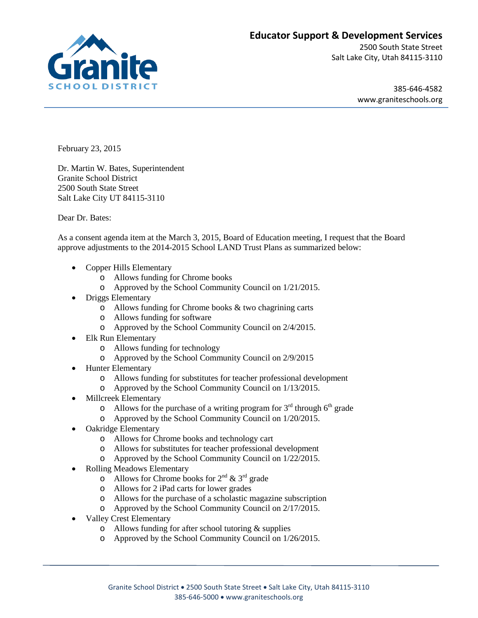

## **Educator Support & Development Services**

2500 South State Street Salt Lake City, Utah 84115-3110

> 385-646-4582 www.graniteschools.org

February 23, 2015

Dr. Martin W. Bates, Superintendent Granite School District 2500 South State Street Salt Lake City UT 84115-3110

Dear Dr. Bates:

As a consent agenda item at the March 3, 2015, Board of Education meeting, I request that the Board approve adjustments to the 2014-2015 School LAND Trust Plans as summarized below:

- Copper Hills Elementary
	- o Allows funding for Chrome books
	- o Approved by the School Community Council on 1/21/2015.
- Driggs Elementary
	- o Allows funding for Chrome books & two chagrining carts
	- o Allows funding for software
	- o Approved by the School Community Council on 2/4/2015.
- Elk Run Elementary
	- o Allows funding for technology
	- o Approved by the School Community Council on 2/9/2015
- Hunter Elementary
	- o Allows funding for substitutes for teacher professional development
	- o Approved by the School Community Council on 1/13/2015.
- Millcreek Elementary
	- o Allows for the purchase of a writing program for  $3<sup>rd</sup>$  through 6<sup>th</sup> grade
	- o Approved by the School Community Council on 1/20/2015.
- Oakridge Elementary
	- o Allows for Chrome books and technology cart
	- o Allows for substitutes for teacher professional development
	- o Approved by the School Community Council on 1/22/2015.
- Rolling Meadows Elementary
	- $\circ$  Allows for Chrome books for  $2^{nd}$  &  $3^{rd}$  grade
	- o Allows for 2 iPad carts for lower grades
	- o Allows for the purchase of a scholastic magazine subscription
	- o Approved by the School Community Council on 2/17/2015.
- Valley Crest Elementary
	- o Allows funding for after school tutoring & supplies
	- o Approved by the School Community Council on 1/26/2015.